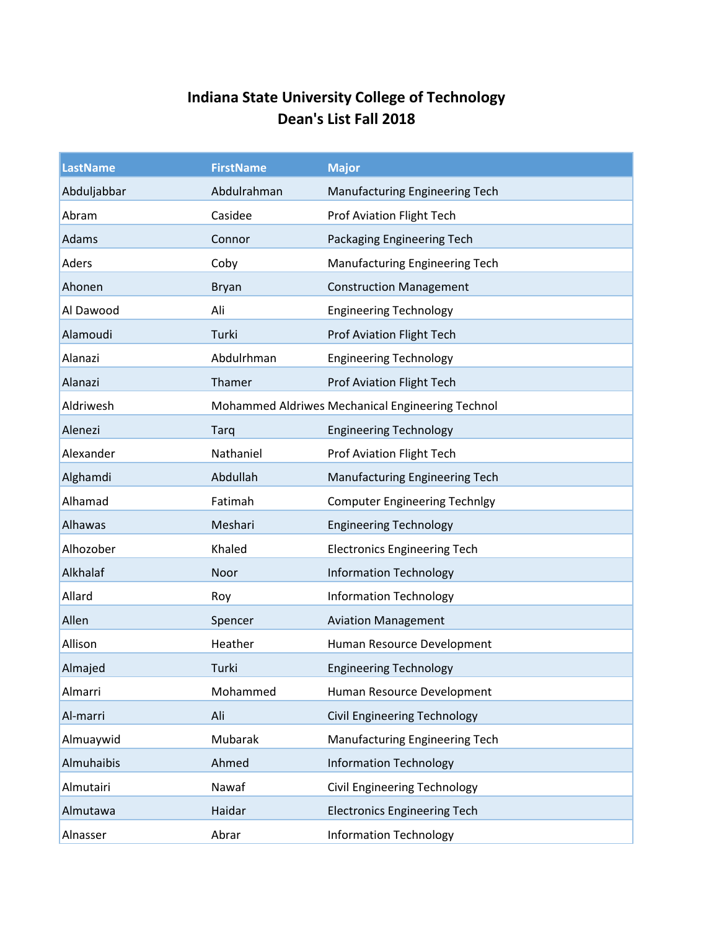## **Indiana State University College of Technology Dean's List Fall 2018**

| <b>LastName</b> | <b>FirstName</b> | <b>Major</b>                                     |
|-----------------|------------------|--------------------------------------------------|
| Abduljabbar     | Abdulrahman      | Manufacturing Engineering Tech                   |
| Abram           | Casidee          | Prof Aviation Flight Tech                        |
| Adams           | Connor           | Packaging Engineering Tech                       |
| Aders           | Coby             | Manufacturing Engineering Tech                   |
| Ahonen          | <b>Bryan</b>     | <b>Construction Management</b>                   |
| Al Dawood       | Ali              | <b>Engineering Technology</b>                    |
| Alamoudi        | Turki            | Prof Aviation Flight Tech                        |
| Alanazi         | Abdulrhman       | <b>Engineering Technology</b>                    |
| Alanazi         | Thamer           | Prof Aviation Flight Tech                        |
| Aldriwesh       |                  | Mohammed Aldriwes Mechanical Engineering Technol |
| Alenezi         | <b>Tarq</b>      | <b>Engineering Technology</b>                    |
| Alexander       | Nathaniel        | Prof Aviation Flight Tech                        |
| Alghamdi        | Abdullah         | Manufacturing Engineering Tech                   |
| Alhamad         | Fatimah          | <b>Computer Engineering Technlgy</b>             |
| Alhawas         | Meshari          | <b>Engineering Technology</b>                    |
| Alhozober       | Khaled           | <b>Electronics Engineering Tech</b>              |
| <b>Alkhalaf</b> | Noor             | <b>Information Technology</b>                    |
| Allard          | Roy              | <b>Information Technology</b>                    |
| Allen           | Spencer          | <b>Aviation Management</b>                       |
| Allison         | Heather          | Human Resource Development                       |
| Almajed         | Turki            | <b>Engineering Technology</b>                    |
| Almarri         | Mohammed         | Human Resource Development                       |
| Al-marri        | Ali              | <b>Civil Engineering Technology</b>              |
| Almuaywid       | <b>Mubarak</b>   | Manufacturing Engineering Tech                   |
| Almuhaibis      | Ahmed            | <b>Information Technology</b>                    |
| Almutairi       | Nawaf            | <b>Civil Engineering Technology</b>              |
| Almutawa        | Haidar           | <b>Electronics Engineering Tech</b>              |
| Alnasser        | Abrar            | <b>Information Technology</b>                    |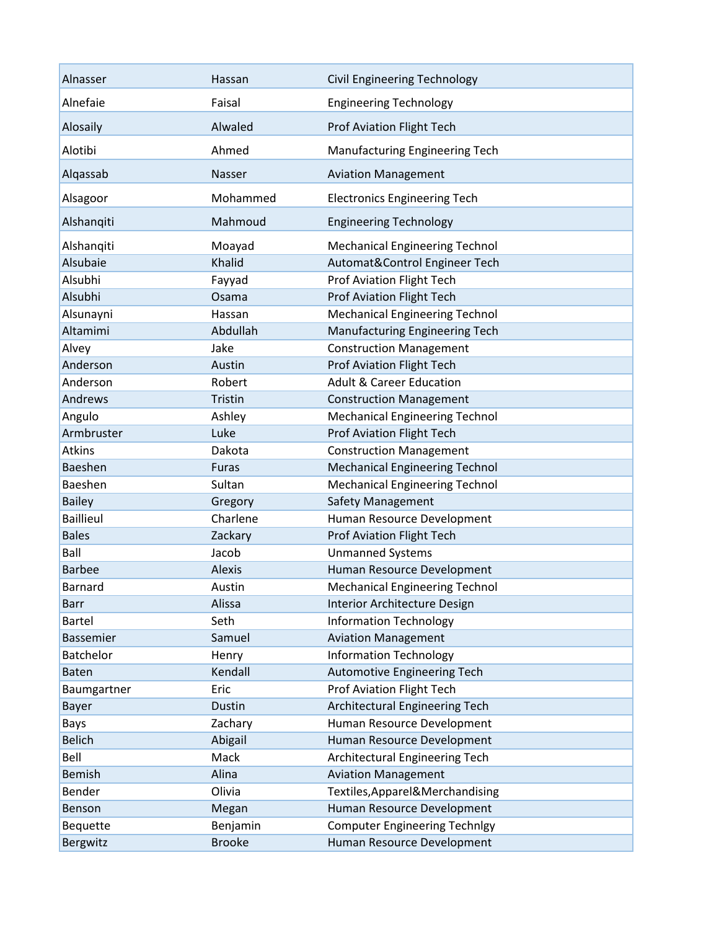| Alnasser         | Hassan        | <b>Civil Engineering Technology</b>   |
|------------------|---------------|---------------------------------------|
| Alnefaie         | Faisal        | <b>Engineering Technology</b>         |
| Alosaily         | Alwaled       | <b>Prof Aviation Flight Tech</b>      |
| Alotibi          | Ahmed         | Manufacturing Engineering Tech        |
| Alqassab         | Nasser        | <b>Aviation Management</b>            |
| Alsagoor         | Mohammed      | <b>Electronics Engineering Tech</b>   |
| Alshangiti       | Mahmoud       | <b>Engineering Technology</b>         |
| Alshanqiti       | Moayad        | <b>Mechanical Engineering Technol</b> |
| Alsubaie         | Khalid        | Automat&Control Engineer Tech         |
| Alsubhi          | Fayyad        | <b>Prof Aviation Flight Tech</b>      |
| Alsubhi          | Osama         | <b>Prof Aviation Flight Tech</b>      |
| Alsunayni        | Hassan        | <b>Mechanical Engineering Technol</b> |
| Altamimi         | Abdullah      | Manufacturing Engineering Tech        |
| Alvey            | Jake          | <b>Construction Management</b>        |
| Anderson         | Austin        | <b>Prof Aviation Flight Tech</b>      |
| Anderson         | Robert        | <b>Adult &amp; Career Education</b>   |
| Andrews          | Tristin       | <b>Construction Management</b>        |
| Angulo           | Ashley        | <b>Mechanical Engineering Technol</b> |
| Armbruster       | Luke          | <b>Prof Aviation Flight Tech</b>      |
| Atkins           | Dakota        | <b>Construction Management</b>        |
| Baeshen          | Furas         | <b>Mechanical Engineering Technol</b> |
| Baeshen          | Sultan        | <b>Mechanical Engineering Technol</b> |
| <b>Bailey</b>    | Gregory       | Safety Management                     |
| <b>Baillieul</b> | Charlene      | Human Resource Development            |
| <b>Bales</b>     | Zackary       | <b>Prof Aviation Flight Tech</b>      |
| Ball             | Jacob         | <b>Unmanned Systems</b>               |
| <b>Barbee</b>    | Alexis        | Human Resource Development            |
| <b>Barnard</b>   | Austin        | <b>Mechanical Engineering Technol</b> |
| <b>Barr</b>      | Alissa        | Interior Architecture Design          |
| <b>Bartel</b>    | Seth          |                                       |
|                  |               | <b>Information Technology</b>         |
| Bassemier        | Samuel        | <b>Aviation Management</b>            |
| <b>Batchelor</b> | Henry         | <b>Information Technology</b>         |
| <b>Baten</b>     | Kendall       | Automotive Engineering Tech           |
| Baumgartner      | Eric          | <b>Prof Aviation Flight Tech</b>      |
| Bayer            | <b>Dustin</b> | Architectural Engineering Tech        |
| Bays             | Zachary       | Human Resource Development            |
| <b>Belich</b>    | Abigail       | Human Resource Development            |
| Bell             | Mack          | Architectural Engineering Tech        |
| <b>Bemish</b>    | Alina         | <b>Aviation Management</b>            |
| Bender           | Olivia        | Textiles, Apparel & Merchandising     |
| Benson           | Megan         | Human Resource Development            |
| Bequette         | Benjamin      | <b>Computer Engineering Technlgy</b>  |
| Bergwitz         | <b>Brooke</b> | Human Resource Development            |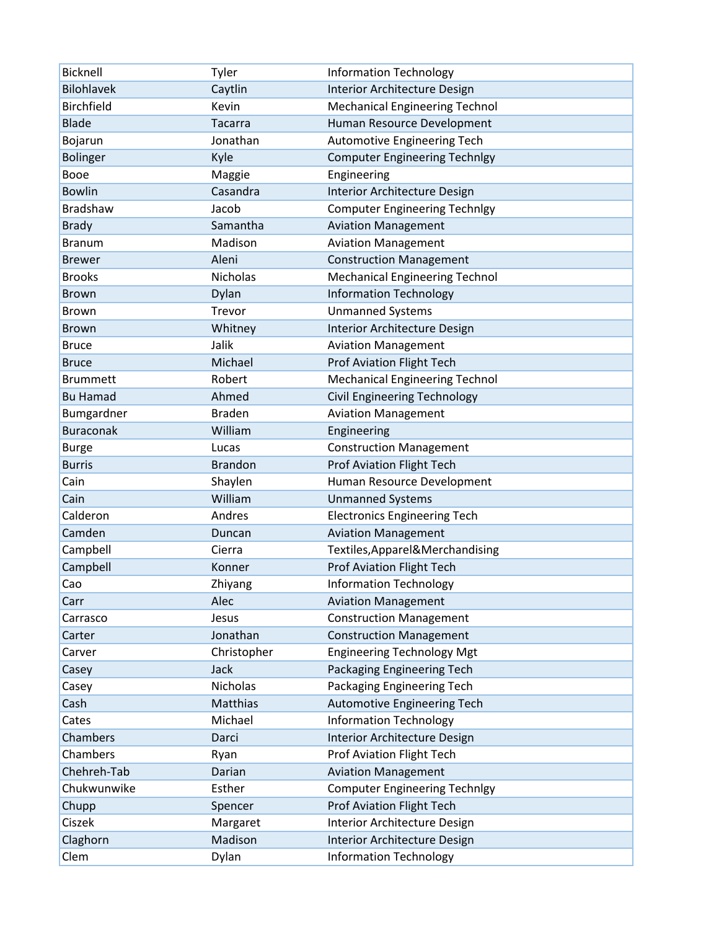| <b>Bicknell</b>   | Tyler           | <b>Information Technology</b>         |
|-------------------|-----------------|---------------------------------------|
| <b>Bilohlavek</b> | Caytlin         | Interior Architecture Design          |
| <b>Birchfield</b> | Kevin           | <b>Mechanical Engineering Technol</b> |
| <b>Blade</b>      | Tacarra         | Human Resource Development            |
| Bojarun           | Jonathan        | Automotive Engineering Tech           |
| <b>Bolinger</b>   | Kyle            | <b>Computer Engineering Technlgy</b>  |
| Booe              | Maggie          | Engineering                           |
| <b>Bowlin</b>     | Casandra        | Interior Architecture Design          |
| <b>Bradshaw</b>   | Jacob           | <b>Computer Engineering Technlgy</b>  |
| <b>Brady</b>      | Samantha        | <b>Aviation Management</b>            |
| <b>Branum</b>     | Madison         | <b>Aviation Management</b>            |
| <b>Brewer</b>     | Aleni           | <b>Construction Management</b>        |
| <b>Brooks</b>     | <b>Nicholas</b> | <b>Mechanical Engineering Technol</b> |
| <b>Brown</b>      | Dylan           | <b>Information Technology</b>         |
| <b>Brown</b>      | Trevor          | <b>Unmanned Systems</b>               |
| <b>Brown</b>      | Whitney         | Interior Architecture Design          |
| <b>Bruce</b>      | Jalik           | <b>Aviation Management</b>            |
| <b>Bruce</b>      | Michael         | <b>Prof Aviation Flight Tech</b>      |
| <b>Brummett</b>   | Robert          | <b>Mechanical Engineering Technol</b> |
| <b>Bu Hamad</b>   | Ahmed           | <b>Civil Engineering Technology</b>   |
| Bumgardner        | <b>Braden</b>   | <b>Aviation Management</b>            |
| <b>Buraconak</b>  | William         | Engineering                           |
| <b>Burge</b>      | Lucas           | <b>Construction Management</b>        |
| <b>Burris</b>     | <b>Brandon</b>  | <b>Prof Aviation Flight Tech</b>      |
| Cain              | Shaylen         | Human Resource Development            |
| Cain              | William         | <b>Unmanned Systems</b>               |
| Calderon          | Andres          | <b>Electronics Engineering Tech</b>   |
| Camden            | Duncan          | <b>Aviation Management</b>            |
| Campbell          | Cierra          | Textiles, Apparel & Merchandising     |
| Campbell          | Konner          | <b>Prof Aviation Flight Tech</b>      |
| Cao               | Zhiyang         | <b>Information Technology</b>         |
| Carr              | Alec            | <b>Aviation Management</b>            |
| Carrasco          | Jesus           | <b>Construction Management</b>        |
| Carter            | Jonathan        | <b>Construction Management</b>        |
| Carver            | Christopher     | <b>Engineering Technology Mgt</b>     |
| Casey             | Jack            | Packaging Engineering Tech            |
| Casey             | Nicholas        | Packaging Engineering Tech            |
| Cash              | Matthias        | Automotive Engineering Tech           |
| Cates             | Michael         | <b>Information Technology</b>         |
| Chambers          | Darci           | Interior Architecture Design          |
| Chambers          | Ryan            | <b>Prof Aviation Flight Tech</b>      |
| Chehreh-Tab       | Darian          | <b>Aviation Management</b>            |
| Chukwunwike       | Esther          | <b>Computer Engineering Technlgy</b>  |
| Chupp             | Spencer         | Prof Aviation Flight Tech             |
| Ciszek            | Margaret        | Interior Architecture Design          |
| Claghorn          | Madison         | Interior Architecture Design          |
| Clem              | Dylan           | <b>Information Technology</b>         |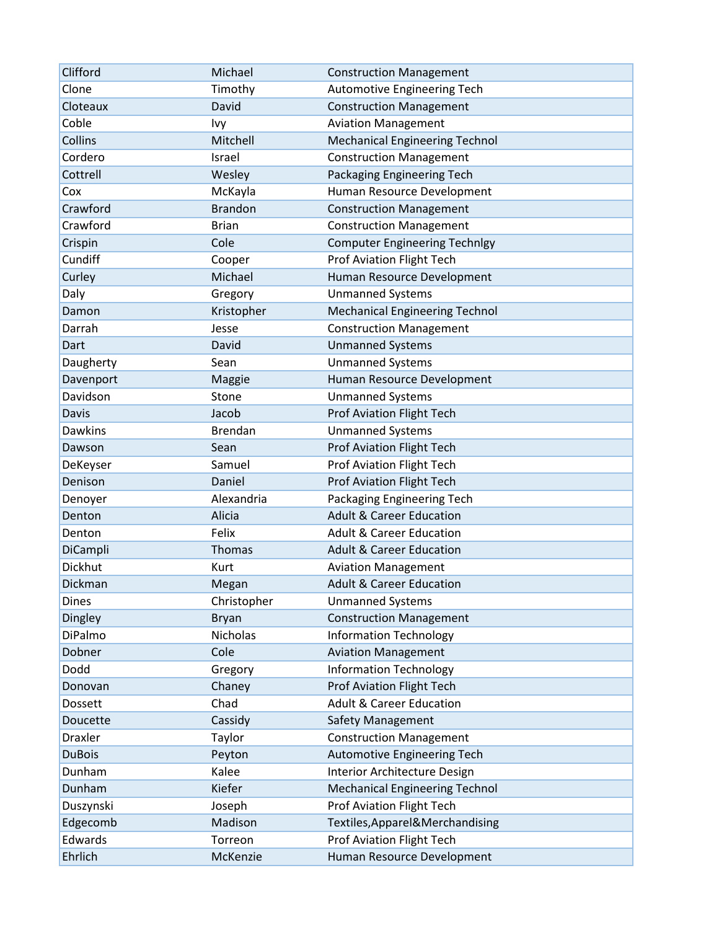| Clifford       | Michael        | <b>Construction Management</b>        |
|----------------|----------------|---------------------------------------|
| Clone          | Timothy        | Automotive Engineering Tech           |
| Cloteaux       | David          | <b>Construction Management</b>        |
| Coble          | Ivy            | <b>Aviation Management</b>            |
| Collins        | Mitchell       | <b>Mechanical Engineering Technol</b> |
| Cordero        | Israel         | <b>Construction Management</b>        |
| Cottrell       | Wesley         | Packaging Engineering Tech            |
| Cox            | McKayla        | Human Resource Development            |
| Crawford       | <b>Brandon</b> | <b>Construction Management</b>        |
| Crawford       | <b>Brian</b>   | <b>Construction Management</b>        |
| Crispin        | Cole           | <b>Computer Engineering Technlgy</b>  |
| Cundiff        | Cooper         | Prof Aviation Flight Tech             |
| Curley         | Michael        | Human Resource Development            |
| Daly           | Gregory        | <b>Unmanned Systems</b>               |
| Damon          | Kristopher     | <b>Mechanical Engineering Technol</b> |
| Darrah         | Jesse          | <b>Construction Management</b>        |
| Dart           | David          | <b>Unmanned Systems</b>               |
| Daugherty      | Sean           | <b>Unmanned Systems</b>               |
| Davenport      | Maggie         | Human Resource Development            |
| Davidson       | Stone          | <b>Unmanned Systems</b>               |
| Davis          | Jacob          | Prof Aviation Flight Tech             |
| <b>Dawkins</b> | Brendan        | <b>Unmanned Systems</b>               |
| Dawson         | Sean           | <b>Prof Aviation Flight Tech</b>      |
| DeKeyser       | Samuel         | Prof Aviation Flight Tech             |
| Denison        | Daniel         | <b>Prof Aviation Flight Tech</b>      |
| Denoyer        | Alexandria     | Packaging Engineering Tech            |
| Denton         | Alicia         | <b>Adult &amp; Career Education</b>   |
| Denton         | Felix          | <b>Adult &amp; Career Education</b>   |
| DiCampli       | Thomas         | <b>Adult &amp; Career Education</b>   |
| Dickhut        | Kurt           | <b>Aviation Management</b>            |
| Dickman        | Megan          | <b>Adult &amp; Career Education</b>   |
| Dines          | Christopher    | <b>Unmanned Systems</b>               |
| Dingley        | <b>Bryan</b>   | <b>Construction Management</b>        |
| DiPalmo        | Nicholas       | <b>Information Technology</b>         |
| Dobner         | Cole           | <b>Aviation Management</b>            |
| Dodd           | Gregory        | <b>Information Technology</b>         |
| Donovan        | Chaney         | <b>Prof Aviation Flight Tech</b>      |
| Dossett        | Chad           | <b>Adult &amp; Career Education</b>   |
| Doucette       | Cassidy        | <b>Safety Management</b>              |
| <b>Draxler</b> | Taylor         | <b>Construction Management</b>        |
| <b>DuBois</b>  | Peyton         | Automotive Engineering Tech           |
| Dunham         | Kalee          | Interior Architecture Design          |
| Dunham         | Kiefer         | <b>Mechanical Engineering Technol</b> |
| Duszynski      | Joseph         | <b>Prof Aviation Flight Tech</b>      |
| Edgecomb       | Madison        | Textiles, Apparel & Merchandising     |
| Edwards        | Torreon        | <b>Prof Aviation Flight Tech</b>      |
| Ehrlich        | McKenzie       | Human Resource Development            |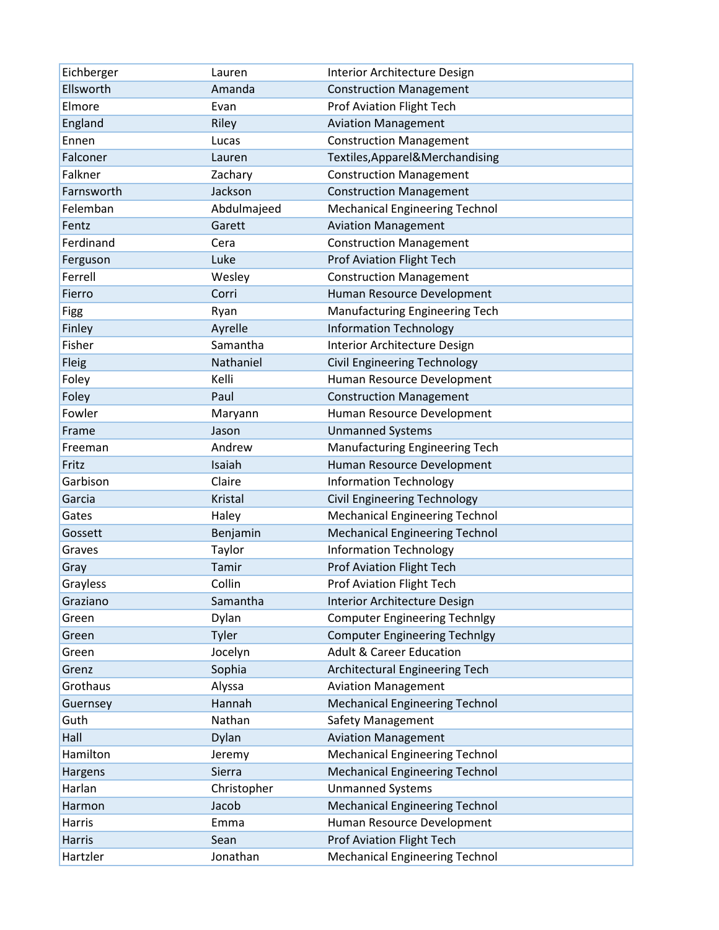| Eichberger  | Lauren      | Interior Architecture Design          |
|-------------|-------------|---------------------------------------|
| Ellsworth   | Amanda      | <b>Construction Management</b>        |
| Elmore      | Evan        | <b>Prof Aviation Flight Tech</b>      |
| England     | Riley       | <b>Aviation Management</b>            |
| Ennen       | Lucas       | <b>Construction Management</b>        |
| Falconer    | Lauren      | Textiles, Apparel & Merchandising     |
| Falkner     | Zachary     | <b>Construction Management</b>        |
| Farnsworth  | Jackson     | <b>Construction Management</b>        |
| Felemban    | Abdulmajeed | <b>Mechanical Engineering Technol</b> |
| Fentz       | Garett      | <b>Aviation Management</b>            |
| Ferdinand   | Cera        | <b>Construction Management</b>        |
| Ferguson    | Luke        | <b>Prof Aviation Flight Tech</b>      |
| Ferrell     | Wesley      | <b>Construction Management</b>        |
| Fierro      | Corri       | Human Resource Development            |
| <b>Figg</b> | Ryan        | Manufacturing Engineering Tech        |
| Finley      | Ayrelle     | <b>Information Technology</b>         |
| Fisher      | Samantha    | Interior Architecture Design          |
| Fleig       | Nathaniel   | Civil Engineering Technology          |
| Foley       | Kelli       | Human Resource Development            |
| Foley       | Paul        | <b>Construction Management</b>        |
| Fowler      | Maryann     | Human Resource Development            |
| Frame       | Jason       | <b>Unmanned Systems</b>               |
| Freeman     | Andrew      | Manufacturing Engineering Tech        |
| Fritz       | Isaiah      | Human Resource Development            |
| Garbison    | Claire      | <b>Information Technology</b>         |
| Garcia      | Kristal     | <b>Civil Engineering Technology</b>   |
| Gates       | Haley       | <b>Mechanical Engineering Technol</b> |
| Gossett     | Benjamin    | <b>Mechanical Engineering Technol</b> |
| Graves      | Taylor      | <b>Information Technology</b>         |
| Gray        | Tamir       | <b>Prof Aviation Flight Tech</b>      |
| Grayless    | Collin      | Prof Aviation Flight Tech             |
| Graziano    | Samantha    | Interior Architecture Design          |
| Green       | Dylan       | <b>Computer Engineering Technlgy</b>  |
| Green       | Tyler       | <b>Computer Engineering Technlgy</b>  |
| Green       | Jocelyn     | <b>Adult &amp; Career Education</b>   |
| Grenz       | Sophia      | Architectural Engineering Tech        |
| Grothaus    | Alyssa      | <b>Aviation Management</b>            |
| Guernsey    | Hannah      | <b>Mechanical Engineering Technol</b> |
| Guth        | Nathan      | Safety Management                     |
| Hall        | Dylan       | <b>Aviation Management</b>            |
| Hamilton    | Jeremy      | <b>Mechanical Engineering Technol</b> |
| Hargens     | Sierra      | <b>Mechanical Engineering Technol</b> |
| Harlan      | Christopher | <b>Unmanned Systems</b>               |
| Harmon      | Jacob       | <b>Mechanical Engineering Technol</b> |
| Harris      | Emma        | Human Resource Development            |
| Harris      | Sean        | <b>Prof Aviation Flight Tech</b>      |
| Hartzler    | Jonathan    | <b>Mechanical Engineering Technol</b> |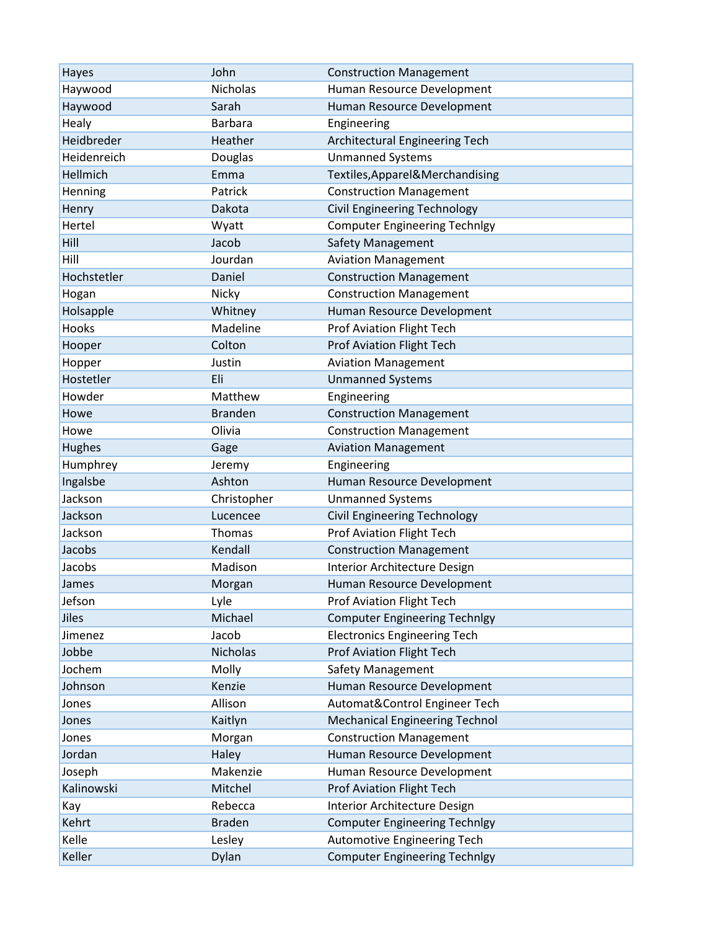| Hayes       | John            | <b>Construction Management</b>        |
|-------------|-----------------|---------------------------------------|
| Haywood     | <b>Nicholas</b> | Human Resource Development            |
| Haywood     | Sarah           | Human Resource Development            |
| Healy       | <b>Barbara</b>  | Engineering                           |
| Heidbreder  | Heather         | Architectural Engineering Tech        |
| Heidenreich | Douglas         | <b>Unmanned Systems</b>               |
| Hellmich    | Emma            | Textiles, Apparel & Merchandising     |
| Henning     | Patrick         | <b>Construction Management</b>        |
| Henry       | Dakota          | Civil Engineering Technology          |
| Hertel      | Wyatt           | <b>Computer Engineering Technlgy</b>  |
| Hill        | Jacob           | <b>Safety Management</b>              |
| Hill        | Jourdan         | <b>Aviation Management</b>            |
| Hochstetler | Daniel          | <b>Construction Management</b>        |
| Hogan       | Nicky           | <b>Construction Management</b>        |
| Holsapple   | Whitney         | Human Resource Development            |
| Hooks       | Madeline        | <b>Prof Aviation Flight Tech</b>      |
| Hooper      | Colton          | Prof Aviation Flight Tech             |
| Hopper      | Justin          | <b>Aviation Management</b>            |
| Hostetler   | Eli             | <b>Unmanned Systems</b>               |
| Howder      | Matthew         | Engineering                           |
| Howe        | <b>Branden</b>  | <b>Construction Management</b>        |
| Howe        | Olivia          | <b>Construction Management</b>        |
| Hughes      | Gage            | <b>Aviation Management</b>            |
| Humphrey    | Jeremy          | Engineering                           |
| Ingalsbe    | Ashton          | Human Resource Development            |
| Jackson     | Christopher     | <b>Unmanned Systems</b>               |
| Jackson     | Lucencee        | Civil Engineering Technology          |
| Jackson     | <b>Thomas</b>   | <b>Prof Aviation Flight Tech</b>      |
| Jacobs      | Kendall         | <b>Construction Management</b>        |
| Jacobs      | Madison         | Interior Architecture Design          |
| James       | Morgan          | Human Resource Development            |
| Jefson      | Lyle            | <b>Prof Aviation Flight Tech</b>      |
| Jiles       | Michael         | <b>Computer Engineering Technlgy</b>  |
| Jimenez     | Jacob           | <b>Electronics Engineering Tech</b>   |
| Jobbe       | Nicholas        | <b>Prof Aviation Flight Tech</b>      |
| Jochem      | Molly           | Safety Management                     |
| Johnson     | Kenzie          | Human Resource Development            |
| Jones       | Allison         | Automat&Control Engineer Tech         |
| Jones       | Kaitlyn         | <b>Mechanical Engineering Technol</b> |
| Jones       | Morgan          | <b>Construction Management</b>        |
| Jordan      | Haley           | Human Resource Development            |
| Joseph      | Makenzie        | Human Resource Development            |
| Kalinowski  | Mitchel         | Prof Aviation Flight Tech             |
| Kay         | Rebecca         | Interior Architecture Design          |
| Kehrt       | <b>Braden</b>   | <b>Computer Engineering Technlgy</b>  |
| Kelle       | Lesley          | Automotive Engineering Tech           |
| Keller      | Dylan           | <b>Computer Engineering Technlgy</b>  |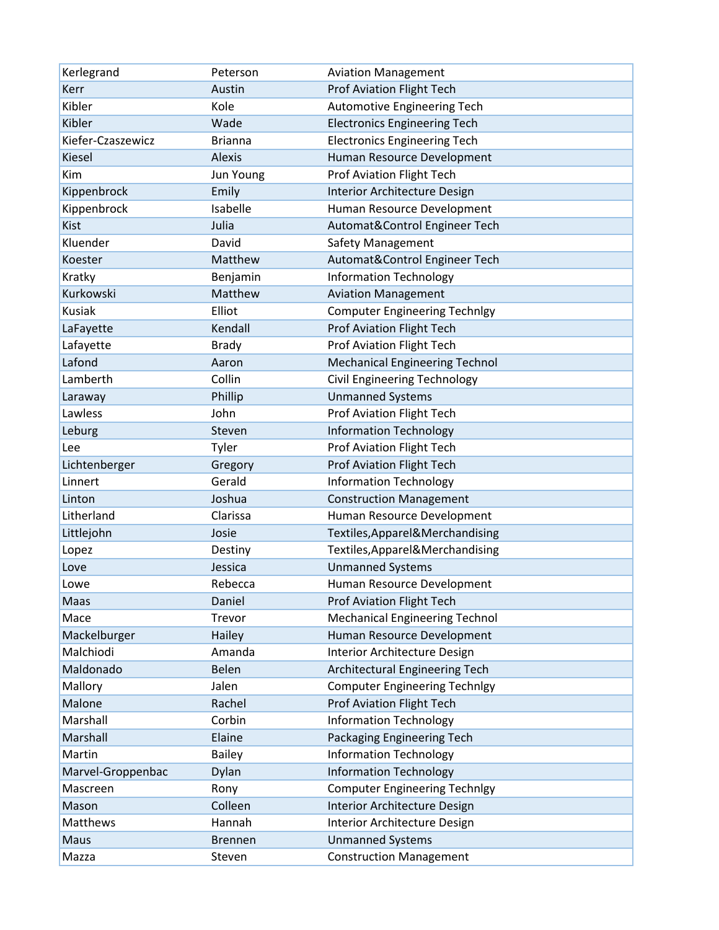| Kerlegrand        | Peterson       | <b>Aviation Management</b>            |
|-------------------|----------------|---------------------------------------|
| Kerr              | Austin         | <b>Prof Aviation Flight Tech</b>      |
| Kibler            | Kole           | Automotive Engineering Tech           |
| Kibler            | Wade           | <b>Electronics Engineering Tech</b>   |
| Kiefer-Czaszewicz | <b>Brianna</b> | <b>Electronics Engineering Tech</b>   |
| <b>Kiesel</b>     | Alexis         | Human Resource Development            |
| Kim               | Jun Young      | Prof Aviation Flight Tech             |
| Kippenbrock       | Emily          | Interior Architecture Design          |
| Kippenbrock       | Isabelle       | Human Resource Development            |
| <b>Kist</b>       | Julia          | Automat&Control Engineer Tech         |
| Kluender          | David          | Safety Management                     |
| Koester           | Matthew        | Automat&Control Engineer Tech         |
| Kratky            | Benjamin       | <b>Information Technology</b>         |
| Kurkowski         | Matthew        | <b>Aviation Management</b>            |
| <b>Kusiak</b>     | Elliot         | <b>Computer Engineering Technlgy</b>  |
| LaFayette         | Kendall        | <b>Prof Aviation Flight Tech</b>      |
| Lafayette         | <b>Brady</b>   | Prof Aviation Flight Tech             |
| Lafond            | Aaron          | <b>Mechanical Engineering Technol</b> |
| Lamberth          | Collin         | Civil Engineering Technology          |
| Laraway           | Phillip        | <b>Unmanned Systems</b>               |
| Lawless           | John           | Prof Aviation Flight Tech             |
| Leburg            | Steven         | <b>Information Technology</b>         |
| Lee               | Tyler          | <b>Prof Aviation Flight Tech</b>      |
| Lichtenberger     | Gregory        | Prof Aviation Flight Tech             |
| Linnert           | Gerald         | <b>Information Technology</b>         |
| Linton            | Joshua         | <b>Construction Management</b>        |
| Litherland        | Clarissa       | Human Resource Development            |
| Littlejohn        | Josie          | Textiles, Apparel & Merchandising     |
| Lopez             | Destiny        | Textiles, Apparel & Merchandising     |
| Love              | Jessica        | <b>Unmanned Systems</b>               |
| Lowe              | Rebecca        | Human Resource Development            |
| Maas              | Daniel         | <b>Prof Aviation Flight Tech</b>      |
| Mace              | Trevor         | <b>Mechanical Engineering Technol</b> |
| Mackelburger      | Hailey         | Human Resource Development            |
| Malchiodi         | Amanda         | Interior Architecture Design          |
| Maldonado         | Belen          | Architectural Engineering Tech        |
| Mallory           | Jalen          | <b>Computer Engineering Technlgy</b>  |
| Malone            | Rachel         | <b>Prof Aviation Flight Tech</b>      |
| Marshall          | Corbin         | <b>Information Technology</b>         |
| Marshall          | Elaine         | Packaging Engineering Tech            |
| Martin            | <b>Bailey</b>  | <b>Information Technology</b>         |
| Marvel-Groppenbac | Dylan          | <b>Information Technology</b>         |
| Mascreen          | Rony           | <b>Computer Engineering Technlgy</b>  |
| Mason             | Colleen        | Interior Architecture Design          |
| Matthews          | Hannah         | Interior Architecture Design          |
| Maus              | <b>Brennen</b> | <b>Unmanned Systems</b>               |
| Mazza             | Steven         | <b>Construction Management</b>        |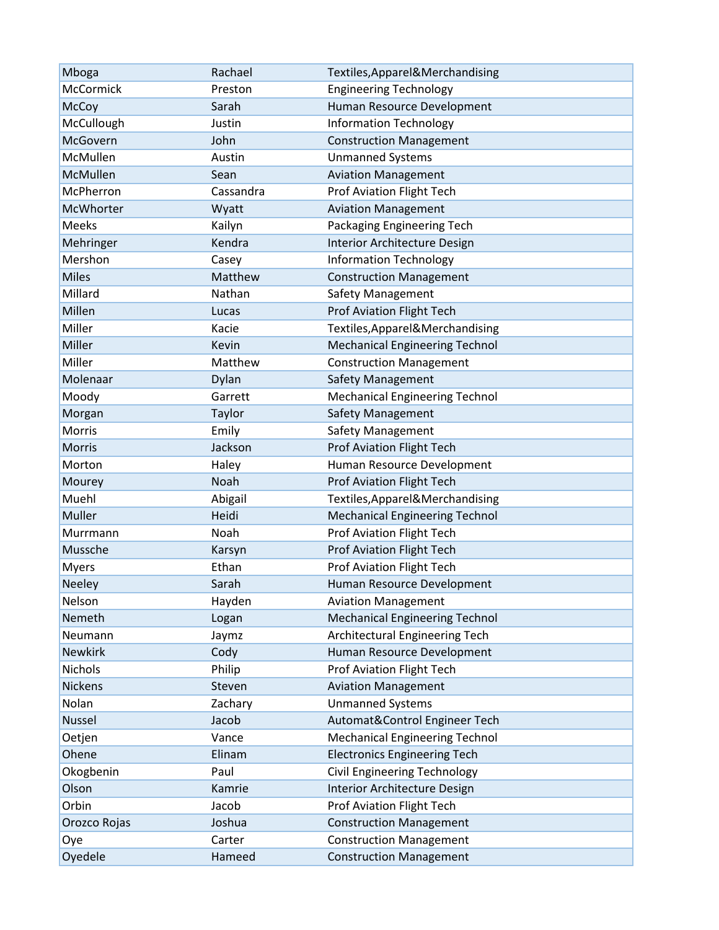| Mboga          | Rachael   | Textiles, Apparel & Merchandising     |
|----------------|-----------|---------------------------------------|
| McCormick      | Preston   | <b>Engineering Technology</b>         |
| McCoy          | Sarah     | Human Resource Development            |
| McCullough     | Justin    | <b>Information Technology</b>         |
| McGovern       | John      | <b>Construction Management</b>        |
| McMullen       | Austin    | <b>Unmanned Systems</b>               |
| McMullen       | Sean      | <b>Aviation Management</b>            |
| McPherron      | Cassandra | <b>Prof Aviation Flight Tech</b>      |
| McWhorter      | Wyatt     | <b>Aviation Management</b>            |
| Meeks          | Kailyn    | Packaging Engineering Tech            |
| Mehringer      | Kendra    | Interior Architecture Design          |
| Mershon        | Casey     | <b>Information Technology</b>         |
| <b>Miles</b>   | Matthew   | <b>Construction Management</b>        |
| Millard        | Nathan    | Safety Management                     |
| Millen         | Lucas     | <b>Prof Aviation Flight Tech</b>      |
| Miller         | Kacie     | Textiles, Apparel & Merchandising     |
| Miller         | Kevin     | <b>Mechanical Engineering Technol</b> |
| Miller         | Matthew   | <b>Construction Management</b>        |
| Molenaar       | Dylan     | <b>Safety Management</b>              |
| Moody          | Garrett   | <b>Mechanical Engineering Technol</b> |
| Morgan         | Taylor    | Safety Management                     |
| Morris         | Emily     | Safety Management                     |
| <b>Morris</b>  | Jackson   | <b>Prof Aviation Flight Tech</b>      |
| Morton         | Haley     | Human Resource Development            |
| Mourey         | Noah      | Prof Aviation Flight Tech             |
| Muehl          | Abigail   | Textiles, Apparel & Merchandising     |
| <b>Muller</b>  | Heidi     | <b>Mechanical Engineering Technol</b> |
| Murrmann       | Noah      | Prof Aviation Flight Tech             |
| Mussche        | Karsyn    | <b>Prof Aviation Flight Tech</b>      |
| <b>Myers</b>   | Ethan     | <b>Prof Aviation Flight Tech</b>      |
| <b>Neeley</b>  | Sarah     | Human Resource Development            |
| Nelson         | Hayden    | <b>Aviation Management</b>            |
| Nemeth         | Logan     | <b>Mechanical Engineering Technol</b> |
| Neumann        | Jaymz     | Architectural Engineering Tech        |
| <b>Newkirk</b> | Cody      | Human Resource Development            |
| Nichols        | Philip    | Prof Aviation Flight Tech             |
| <b>Nickens</b> | Steven    | <b>Aviation Management</b>            |
| Nolan          | Zachary   | <b>Unmanned Systems</b>               |
| Nussel         | Jacob     | Automat&Control Engineer Tech         |
| Oetjen         | Vance     | <b>Mechanical Engineering Technol</b> |
| Ohene          | Elinam    | <b>Electronics Engineering Tech</b>   |
| Okogbenin      | Paul      | <b>Civil Engineering Technology</b>   |
| Olson          | Kamrie    | Interior Architecture Design          |
| Orbin          | Jacob     | Prof Aviation Flight Tech             |
| Orozco Rojas   | Joshua    | <b>Construction Management</b>        |
| Oye            | Carter    | <b>Construction Management</b>        |
| Oyedele        | Hameed    | <b>Construction Management</b>        |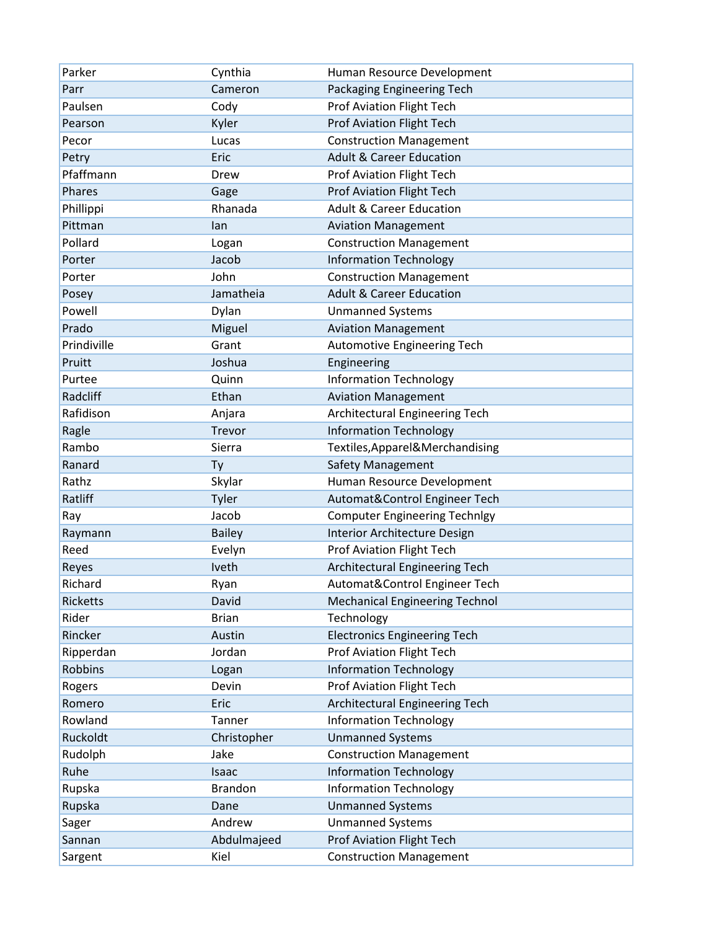| Parker      | Cynthia        | Human Resource Development            |
|-------------|----------------|---------------------------------------|
| Parr        | Cameron        | Packaging Engineering Tech            |
| Paulsen     | Cody           | Prof Aviation Flight Tech             |
| Pearson     | Kyler          | <b>Prof Aviation Flight Tech</b>      |
| Pecor       | Lucas          | <b>Construction Management</b>        |
| Petry       | Eric           | <b>Adult &amp; Career Education</b>   |
| Pfaffmann   | Drew           | Prof Aviation Flight Tech             |
| Phares      | Gage           | <b>Prof Aviation Flight Tech</b>      |
| Phillippi   | Rhanada        | <b>Adult &amp; Career Education</b>   |
| Pittman     | lan            | <b>Aviation Management</b>            |
| Pollard     | Logan          | <b>Construction Management</b>        |
| Porter      | Jacob          | <b>Information Technology</b>         |
| Porter      | John           | <b>Construction Management</b>        |
| Posey       | Jamatheia      | <b>Adult &amp; Career Education</b>   |
| Powell      | Dylan          | <b>Unmanned Systems</b>               |
| Prado       | Miguel         | <b>Aviation Management</b>            |
| Prindiville | Grant          | Automotive Engineering Tech           |
| Pruitt      | Joshua         | Engineering                           |
| Purtee      | Quinn          | <b>Information Technology</b>         |
| Radcliff    | Ethan          | <b>Aviation Management</b>            |
| Rafidison   | Anjara         | Architectural Engineering Tech        |
| Ragle       | Trevor         | <b>Information Technology</b>         |
| Rambo       | Sierra         | Textiles, Apparel & Merchandising     |
| Ranard      | Ty             | Safety Management                     |
| Rathz       | Skylar         | Human Resource Development            |
| Ratliff     | Tyler          | Automat&Control Engineer Tech         |
| Ray         | Jacob          | <b>Computer Engineering Technlgy</b>  |
| Raymann     | <b>Bailey</b>  | Interior Architecture Design          |
| Reed        | Evelyn         | <b>Prof Aviation Flight Tech</b>      |
| Reyes       | Iveth          | Architectural Engineering Tech        |
| Richard     | Ryan           | Automat&Control Engineer Tech         |
| Ricketts    | David          | <b>Mechanical Engineering Technol</b> |
| Rider       | <b>Brian</b>   | Technology                            |
| Rincker     | Austin         | <b>Electronics Engineering Tech</b>   |
| Ripperdan   | Jordan         | <b>Prof Aviation Flight Tech</b>      |
| Robbins     | Logan          | <b>Information Technology</b>         |
| Rogers      | Devin          | <b>Prof Aviation Flight Tech</b>      |
| Romero      | Eric           | Architectural Engineering Tech        |
| Rowland     | Tanner         | <b>Information Technology</b>         |
| Ruckoldt    | Christopher    | <b>Unmanned Systems</b>               |
| Rudolph     | Jake           | <b>Construction Management</b>        |
| Ruhe        | Isaac          | <b>Information Technology</b>         |
| Rupska      | <b>Brandon</b> | <b>Information Technology</b>         |
| Rupska      | Dane           | <b>Unmanned Systems</b>               |
| Sager       | Andrew         | <b>Unmanned Systems</b>               |
| Sannan      | Abdulmajeed    | Prof Aviation Flight Tech             |
| Sargent     | Kiel           | <b>Construction Management</b>        |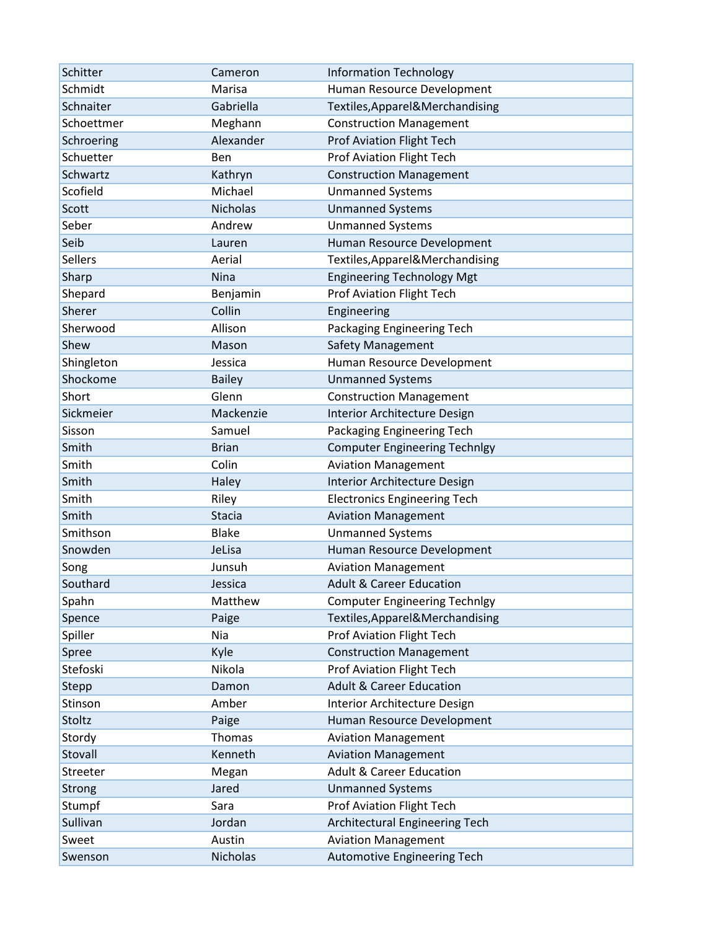| Schitter       | Cameron         | <b>Information Technology</b>        |
|----------------|-----------------|--------------------------------------|
| Schmidt        | Marisa          | Human Resource Development           |
| Schnaiter      | Gabriella       | Textiles, Apparel & Merchandising    |
| Schoettmer     | Meghann         | <b>Construction Management</b>       |
| Schroering     | Alexander       | <b>Prof Aviation Flight Tech</b>     |
| Schuetter      | Ben             | <b>Prof Aviation Flight Tech</b>     |
| Schwartz       | Kathryn         | <b>Construction Management</b>       |
| Scofield       | Michael         | <b>Unmanned Systems</b>              |
| Scott          | <b>Nicholas</b> | <b>Unmanned Systems</b>              |
| Seber          | Andrew          | <b>Unmanned Systems</b>              |
| Seib           | Lauren          | Human Resource Development           |
| <b>Sellers</b> | Aerial          | Textiles, Apparel & Merchandising    |
| Sharp          | Nina            | <b>Engineering Technology Mgt</b>    |
| Shepard        | Benjamin        | Prof Aviation Flight Tech            |
| Sherer         | Collin          | Engineering                          |
| Sherwood       | Allison         | Packaging Engineering Tech           |
| Shew           | Mason           | <b>Safety Management</b>             |
| Shingleton     | Jessica         | Human Resource Development           |
| Shockome       | <b>Bailey</b>   | <b>Unmanned Systems</b>              |
| Short          | Glenn           | <b>Construction Management</b>       |
| Sickmeier      | Mackenzie       | Interior Architecture Design         |
| Sisson         | Samuel          | Packaging Engineering Tech           |
| Smith          | <b>Brian</b>    | <b>Computer Engineering Technlgy</b> |
| Smith          | Colin           | <b>Aviation Management</b>           |
| Smith          | Haley           | Interior Architecture Design         |
| Smith          | Riley           | <b>Electronics Engineering Tech</b>  |
| Smith          | Stacia          | <b>Aviation Management</b>           |
| Smithson       | <b>Blake</b>    | <b>Unmanned Systems</b>              |
| Snowden        | JeLisa          | Human Resource Development           |
| Song           | Junsuh          | <b>Aviation Management</b>           |
| Southard       | Jessica         | <b>Adult &amp; Career Education</b>  |
| Spahn          | Matthew         | <b>Computer Engineering Technlgy</b> |
| Spence         | Paige           | Textiles, Apparel & Merchandising    |
| Spiller        | Nia             | <b>Prof Aviation Flight Tech</b>     |
| Spree          | Kyle            | <b>Construction Management</b>       |
| Stefoski       | Nikola          | <b>Prof Aviation Flight Tech</b>     |
| Stepp          | Damon           | <b>Adult &amp; Career Education</b>  |
| Stinson        | Amber           | Interior Architecture Design         |
| Stoltz         | Paige           | Human Resource Development           |
| Stordy         | Thomas          | <b>Aviation Management</b>           |
| Stovall        | Kenneth         | <b>Aviation Management</b>           |
| Streeter       | Megan           | <b>Adult &amp; Career Education</b>  |
| Strong         | Jared           | <b>Unmanned Systems</b>              |
| Stumpf         | Sara            | <b>Prof Aviation Flight Tech</b>     |
| Sullivan       | Jordan          | Architectural Engineering Tech       |
| Sweet          | Austin          | <b>Aviation Management</b>           |
| Swenson        | <b>Nicholas</b> | Automotive Engineering Tech          |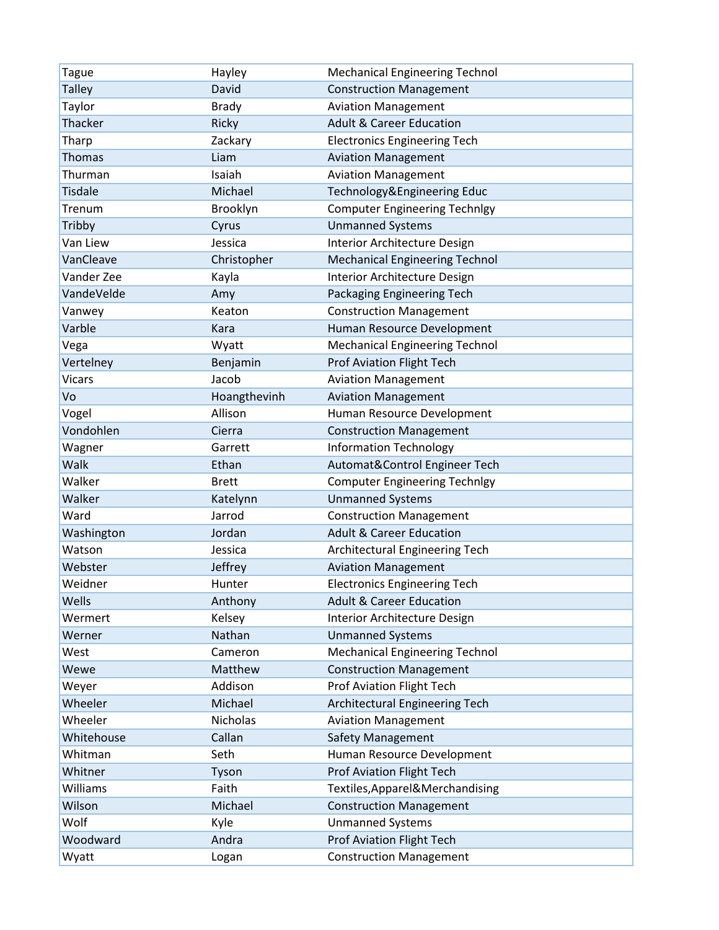| <b>Tague</b>    | Hayley       | <b>Mechanical Engineering Technol</b> |
|-----------------|--------------|---------------------------------------|
| <b>Talley</b>   | David        | <b>Construction Management</b>        |
| Taylor          | <b>Brady</b> | <b>Aviation Management</b>            |
| Thacker         | Ricky        | <b>Adult &amp; Career Education</b>   |
| Tharp           | Zackary      | <b>Electronics Engineering Tech</b>   |
| Thomas          | Liam         | <b>Aviation Management</b>            |
| Thurman         | Isaiah       | <b>Aviation Management</b>            |
| <b>Tisdale</b>  | Michael      | Technology&Engineering Educ           |
| Trenum          | Brooklyn     | <b>Computer Engineering Technlgy</b>  |
| Tribby          | Cyrus        | <b>Unmanned Systems</b>               |
| Van Liew        | Jessica      | Interior Architecture Design          |
| VanCleave       | Christopher  | <b>Mechanical Engineering Technol</b> |
| Vander Zee      | Kayla        | Interior Architecture Design          |
| VandeVelde      | Amy          | Packaging Engineering Tech            |
| Vanwey          | Keaton       | <b>Construction Management</b>        |
| Varble          | Kara         | Human Resource Development            |
| Vega            | Wyatt        | <b>Mechanical Engineering Technol</b> |
| Vertelney       | Benjamin     | <b>Prof Aviation Flight Tech</b>      |
| <b>Vicars</b>   | Jacob        | <b>Aviation Management</b>            |
| Vo              | Hoangthevinh | <b>Aviation Management</b>            |
| Vogel           | Allison      | Human Resource Development            |
| Vondohlen       | Cierra       | <b>Construction Management</b>        |
| Wagner          | Garrett      | <b>Information Technology</b>         |
| Walk            | Ethan        | Automat&Control Engineer Tech         |
| Walker          | <b>Brett</b> | <b>Computer Engineering Technlgy</b>  |
| Walker          | Katelynn     | <b>Unmanned Systems</b>               |
| Ward            | Jarrod       | <b>Construction Management</b>        |
| Washington      | Jordan       | <b>Adult &amp; Career Education</b>   |
| Watson          | Jessica      | Architectural Engineering Tech        |
| Webster         | Jeffrey      | <b>Aviation Management</b>            |
| Weidner         | Hunter       | <b>Electronics Engineering Tech</b>   |
| Wells           | Anthony      | <b>Adult &amp; Career Education</b>   |
| Wermert         | Kelsey       | Interior Architecture Design          |
| Werner          | Nathan       | <b>Unmanned Systems</b>               |
| West            | Cameron      | <b>Mechanical Engineering Technol</b> |
| Wewe            | Matthew      | <b>Construction Management</b>        |
| Weyer           | Addison      | <b>Prof Aviation Flight Tech</b>      |
| Wheeler         | Michael      | Architectural Engineering Tech        |
| Wheeler         | Nicholas     | <b>Aviation Management</b>            |
| Whitehouse      | Callan       | <b>Safety Management</b>              |
| Whitman         | Seth         | Human Resource Development            |
| Whitner         | Tyson        | <b>Prof Aviation Flight Tech</b>      |
| <b>Williams</b> | Faith        | Textiles, Apparel & Merchandising     |
| Wilson          | Michael      | <b>Construction Management</b>        |
| Wolf            | Kyle         | <b>Unmanned Systems</b>               |
| Woodward        | Andra        | Prof Aviation Flight Tech             |
| Wyatt           | Logan        | <b>Construction Management</b>        |